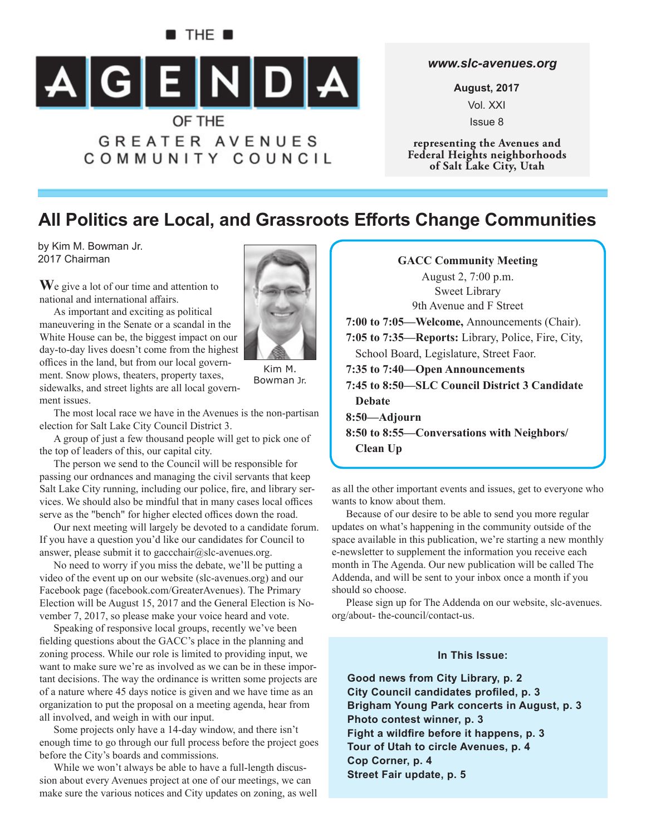# $\blacksquare$  The  $\blacksquare$  $A[G]E[N]D[A]$ OF THE

**GREATER AVENUES** COMMUNITY COUNCIL

#### *www.slc-avenues.org*

**August, 2017** Vol. XXI Issue 8

**representing the Avenues and Federal Heights neighborhoods of Salt Lake City, Utah**

# **All Politics are Local, and Grassroots Efforts Change Communities**

by Kim M. Bowman Jr. 2017 Chairman

**W**e give a lot of our time and attention to national and international affairs.

As important and exciting as political maneuvering in the Senate or a scandal in the White House can be, the biggest impact on our

offices in the land, but from our local government. Snow plows, theaters, property taxes,



Kim M. Bowman Jr.

sidewalks, and street lights are all local government issues. The most local race we have in the Avenues is the non-partisan

election for Salt Lake City Council District 3. A group of just a few thousand people will get to pick one of the top of leaders of this, our capital city.

The person we send to the Council will be responsible for passing our ordnances and managing the civil servants that keep Salt Lake City running, including our police, fire, and library services. We should also be mindful that in many cases local offices serve as the "bench" for higher elected offices down the road.

Our next meeting will largely be devoted to a candidate forum. If you have a question you'd like our candidates for Council to answer, please submit it to gaccchair@slc-avenues.org.

No need to worry if you miss the debate, we'll be putting a video of the event up on our website (slc-avenues.org) and our Facebook page (facebook.com/GreaterAvenues). The Primary Election will be August 15, 2017 and the General Election is November 7, 2017, so please make your voice heard and vote.

Speaking of responsive local groups, recently we've been fielding questions about the GACC's place in the planning and zoning process. While our role is limited to providing input, we want to make sure we're as involved as we can be in these important decisions. The way the ordinance is written some projects are of a nature where 45 days notice is given and we have time as an organization to put the proposal on a meeting agenda, hear from all involved, and weigh in with our input.

Some projects only have a 14-day window, and there isn't enough time to go through our full process before the project goes before the City's boards and commissions.

While we won't always be able to have a full-length discussion about every Avenues project at one of our meetings, we can make sure the various notices and City updates on zoning, as well

| <b>GACC Community Meeting</b>                      |  |  |  |  |
|----------------------------------------------------|--|--|--|--|
| August 2, 7:00 p.m.                                |  |  |  |  |
| <b>Sweet Library</b>                               |  |  |  |  |
| 9th Avenue and F Street                            |  |  |  |  |
| 7:00 to 7:05—Welcome, Announcements (Chair).       |  |  |  |  |
| 7:05 to 7:35—Reports: Library, Police, Fire, City, |  |  |  |  |
| School Board, Legislature, Street Faor.            |  |  |  |  |
| 7:35 to 7:40—Open Announcements                    |  |  |  |  |
| 7:45 to 8:50–SLC Council District 3 Candidate      |  |  |  |  |
| <b>Debate</b>                                      |  |  |  |  |
| 8:50—Adjourn                                       |  |  |  |  |
| 8:50 to 8:55—Conversations with Neighbors/         |  |  |  |  |
| Clean Up                                           |  |  |  |  |

as all the other important events and issues, get to everyone who wants to know about them.

Because of our desire to be able to send you more regular updates on what's happening in the community outside of the space available in this publication, we're starting a new monthly e-newsletter to supplement the information you receive each month in The Agenda. Our new publication will be called The Addenda, and will be sent to your inbox once a month if you should so choose.

Please sign up for The Addenda on our website, slc-avenues. org/about- the-council/contact-us.

#### **In This Issue:**

**Good news from City Library, p. 2 City Council candidates profiled, p. 3 Brigham Young Park concerts in August, p. 3 Photo contest winner, p. 3** Fight a wildfire before it happens, p. 3 **Tour of Utah to circle Avenues, p. 4 Cop Corner, p. 4 Street Fair update, p. 5**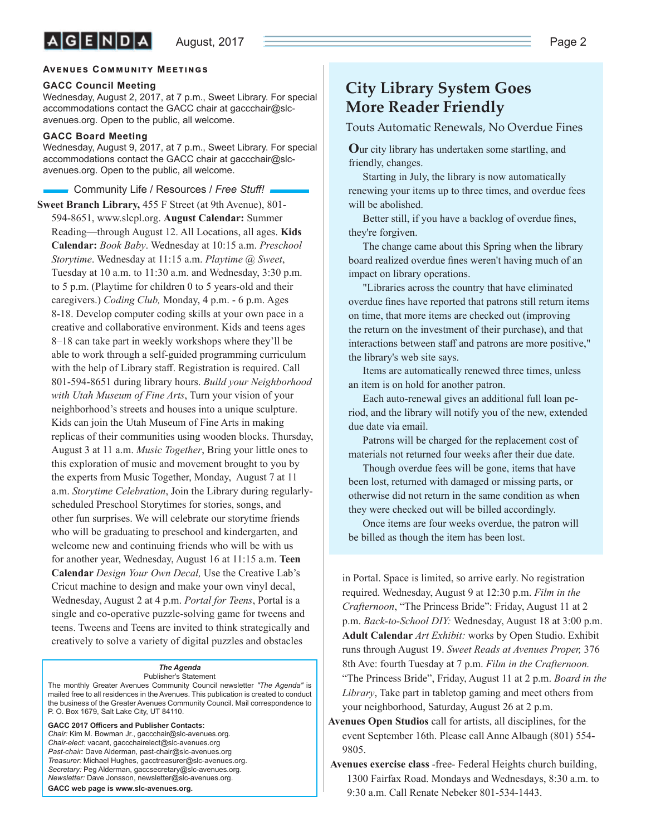#### **AVENUES COMMUNITY MEETINGS**

#### **GACC Council Meeting**

Wednesday, August 2, 2017, at 7 p.m., Sweet Library. For special accommodations contact the GACC chair at gaccchair@slcavenues.org. Open to the public, all welcome.

#### **GACC Board Meeting**

Wednesday, August 9, 2017, at 7 p.m., Sweet Library. For special accommodations contact the GACC chair at gaccchair@slcavenues.org. Open to the public, all welcome.

**Resources / Free Stuff! Community Life / Resources / Free Stuff!** 

**Sweet Branch Library,** 455 F Street (at 9th Avenue), 801- 594-8651, www.slcpl.org. **August Calendar:** Summer Reading—through August 12. All Locations, all ages. **Kids Calendar:** *Book Baby*. Wednesday at 10:15 a.m. *Preschool Storytime*. Wednesday at 11:15 a.m. *Playtime @ Sweet*, Tuesday at 10 a.m. to 11:30 a.m. and Wednesday, 3:30 p.m. to 5 p.m. (Playtime for children 0 to 5 years-old and their caregivers.) *Coding Club,* Monday, 4 p.m. - 6 p.m. Ages 8-18. Develop computer coding skills at your own pace in a creative and collaborative environment. Kids and teens ages 8–18 can take part in weekly workshops where they'll be able to work through a self-guided programming curriculum with the help of Library staff. Registration is required. Call 801-594-8651 during library hours. *Build your Neighborhood with Utah Museum of Fine Arts*, Turn your vision of your neighborhood's streets and houses into a unique sculpture. Kids can join the Utah Museum of Fine Arts in making replicas of their communities using wooden blocks. Thursday, August 3 at 11 a.m. *Music Together*, Bring your little ones to this exploration of music and movement brought to you by the experts from Music Together, Monday, August 7 at 11 a.m. *Storytime Celebration*, Join the Library during regularlyscheduled Preschool Storytimes for stories, songs, and other fun surprises. We will celebrate our storytime friends who will be graduating to preschool and kindergarten, and welcome new and continuing friends who will be with us for another year, Wednesday, August 16 at 11:15 a.m. **Teen Calendar** *Design Your Own Decal,* Use the Creative Lab's Cricut machine to design and make your own vinyl decal, Wednesday, August 2 at 4 p.m. *Portal for Teens*, Portal is a single and co-operative puzzle-solving game for tweens and teens. Tweens and Teens are invited to think strategically and creatively to solve a variety of digital puzzles and obstacles

#### *The Agenda*

Publisher's Statement The monthly Greater Avenues Community Council newsletter *"The Agenda"* is mailed free to all residences in the Avenues. This publication is created to conduct the business of the Greater Avenues Community Council. Mail correspondence to P. O. Box 1679, Salt Lake City, UT 84110.

GACC 2017 Officers and Publisher Contacts: *Chair:* Kim M. Bowman Jr., gaccchair@slc-avenues.org. *Chair-elect:* vacant, gaccchairelect@slc-avenues.org *Past-chair:* Dave Alderman, past-chair@slc-avenues.org *Treasurer:* Michael Hughes, gacctreasurer@slc-avenues.org. *Secretary:* Peg Alderman, gaccsecretary@slc-avenues.org. *Newsletter:* Dave Jonsson, newsletter@slc-avenues.org. **GACC web page is www.slc-avenues.org.**

### **City Library System Goes More Reader Friendly**

Touts Automatic Renewals, No Overdue Fines

**O**ur city library has undertaken some startling, and friendly, changes.

Starting in July, the library is now automatically renewing your items up to three times, and overdue fees will be abolished.

Better still, if you have a backlog of overdue fines, they're forgiven.

The change came about this Spring when the library board realized overdue fines weren't having much of an impact on library operations.

"Libraries across the country that have eliminated overdue fines have reported that patrons still return items on time, that more items are checked out (improving the return on the investment of their purchase), and that interactions between staff and patrons are more positive," the library's web site says.

Items are automatically renewed three times, unless an item is on hold for another patron.

Each auto-renewal gives an additional full loan period, and the library will notify you of the new, extended due date via email.

Patrons will be charged for the replacement cost of materials not returned four weeks after their due date.

Though overdue fees will be gone, items that have been lost, returned with damaged or missing parts, or otherwise did not return in the same condition as when they were checked out will be billed accordingly.

Once items are four weeks overdue, the patron will be billed as though the item has been lost.

in Portal. Space is limited, so arrive early. No registration required. Wednesday, August 9 at 12:30 p.m. *Film in the Crafternoon*, "The Princess Bride": Friday, August 11 at 2 p.m. *Back-to-School DIY:* Wednesday, August 18 at 3:00 p.m. **Adult Calendar** *Art Exhibit:* works by Open Studio. Exhibit runs through August 19. *Sweet Reads at Avenues Proper,* 376 8th Ave: fourth Tuesday at 7 p.m. *Film in the Crafternoon.* "The Princess Bride", Friday, August 11 at 2 p.m. *Board in the Library*, Take part in tabletop gaming and meet others from your neighborhood, Saturday, August 26 at 2 p.m.

- **Avenues Open Studios** call for artists, all disciplines, for the event September 16th. Please call Anne Albaugh (801) 554- 9805.
- **Avenues exercise class** -free- Federal Heights church building, 1300 Fairfax Road. Mondays and Wednesdays, 8:30 a.m. to 9:30 a.m. Call Renate Nebeker 801-534-1443.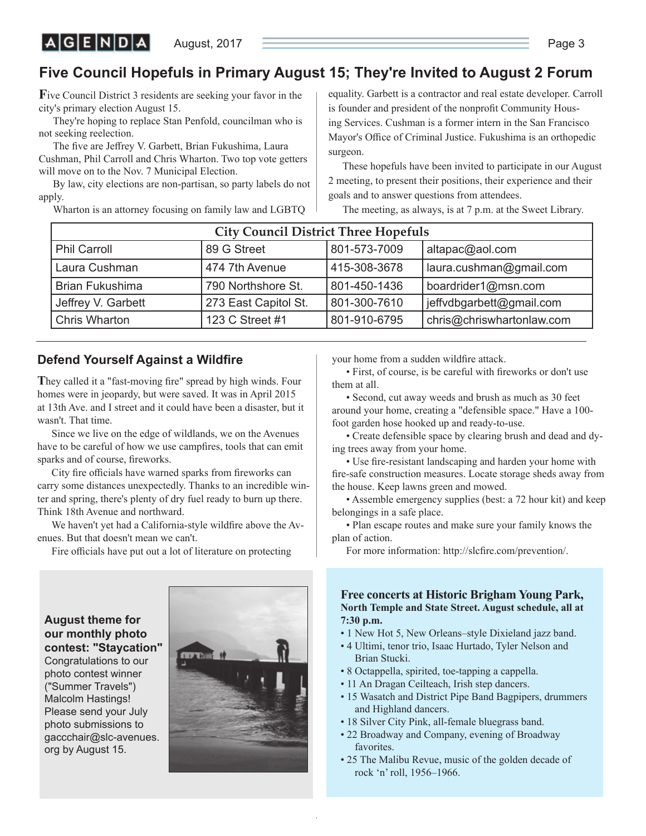August, 2017 **Page 3** 

## **Five Council Hopefuls in Primary August 15; They're Invited to August 2 Forum**

**F**ive Council District 3 residents are seeking your favor in the city's primary election August 15.

 $|A|G|E|N|D|A|$ 

They're hoping to replace Stan Penfold, councilman who is not seeking reelection.

The five are Jeffrey V. Garbett, Brian Fukushima, Laura Cushman, Phil Carroll and Chris Wharton. Two top vote getters will move on to the Nov. 7 Municipal Election.

By law, city elections are non-partisan, so party labels do not apply.

Wharton is an attorney focusing on family law and LGBTQ

equality. Garbett is a contractor and real estate developer. Carroll is founder and president of the nonprofit Community Housing Services. Cushman is a former intern in the San Francisco Mayor's Office of Criminal Justice. Fukushima is an orthopedic surgeon.

These hopefuls have been invited to participate in our August 2 meeting, to present their positions, their experience and their goals and to answer questions from attendees.

The meeting, as always, is at 7 p.m. at the Sweet Library.

| <b>City Council District Three Hopefuls</b> |                      |              |                           |  |
|---------------------------------------------|----------------------|--------------|---------------------------|--|
| <b>Phil Carroll</b>                         | 89 G Street          | 801-573-7009 | altapac@aol.com           |  |
| Laura Cushman                               | 474 7th Avenue       | 415-308-3678 | laura.cushman@gmail.com   |  |
| <b>Brian Fukushima</b>                      | 790 Northshore St.   | 801-450-1436 | boardrider1@msn.com       |  |
| Jeffrey V. Garbett                          | 273 East Capitol St. | 801-300-7610 | jeffvdbgarbett@gmail.com  |  |
| <b>Chris Wharton</b>                        | 123 C Street #1      | 801-910-6795 | chris@chriswhartonlaw.com |  |

#### **Defend Yourself Against a Wildfire**

They called it a "fast-moving fire" spread by high winds. Four homes were in jeopardy, but were saved. It was in April 2015 at 13th Ave. and I street and it could have been a disaster, but it wasn't. That time.

Since we live on the edge of wildlands, we on the Avenues have to be careful of how we use campfires, tools that can emit sparks and of course, fireworks.

City fire officials have warned sparks from fireworks can carry some distances unexpectedly. Thanks to an incredible winter and spring, there's plenty of dry fuel ready to burn up there. Think 18th Avenue and northward.

We haven't yet had a California-style wildfire above the Avenues. But that doesn't mean we can't.

Fire officials have put out a lot of literature on protecting

**August theme for our monthly photo contest: "Staycation"** Congratulations to our photo contest winner ("Summer Travels") Malcolm Hastings! Please send your July photo submissions to gaccchair@slc-avenues. org by August 15.



your home from a sudden wildfire attack.

• First, of course, is be careful with fireworks or don't use them at all.

• Second, cut away weeds and brush as much as 30 feet around your home, creating a "defensible space." Have a 100 foot garden hose hooked up and ready-to-use.

• Create defensible space by clearing brush and dead and dying trees away from your home.

• Use fire-resistant landscaping and harden your home with fire-safe construction measures. Locate storage sheds away from the house. Keep lawns green and mowed.

• Assemble emergency supplies (best: a 72 hour kit) and keep belongings in a safe place.

• Plan escape routes and make sure your family knows the plan of action.

For more information: http://slcfire.com/prevention/.

**Free concerts at Historic Brigham Young Park, North Temple and State Street. August schedule, all at 7:30 p.m.**

- 1 New Hot 5, New Orleans–style Dixieland jazz band.
- 4 Ultimi, tenor trio, Isaac Hurtado, Tyler Nelson and Brian Stucki.
- 8 Octappella, spirited, toe-tapping a cappella.
- 11 An Dragan Ceilteach, Irish step dancers.
- 15 Wasatch and District Pipe Band Bagpipers, drummers and Highland dancers.
- 18 Silver City Pink, all-female bluegrass band.
- 22 Broadway and Company, evening of Broadway favorites.
- 25 The Malibu Revue, music of the golden decade of rock 'n' roll, 1956–1966.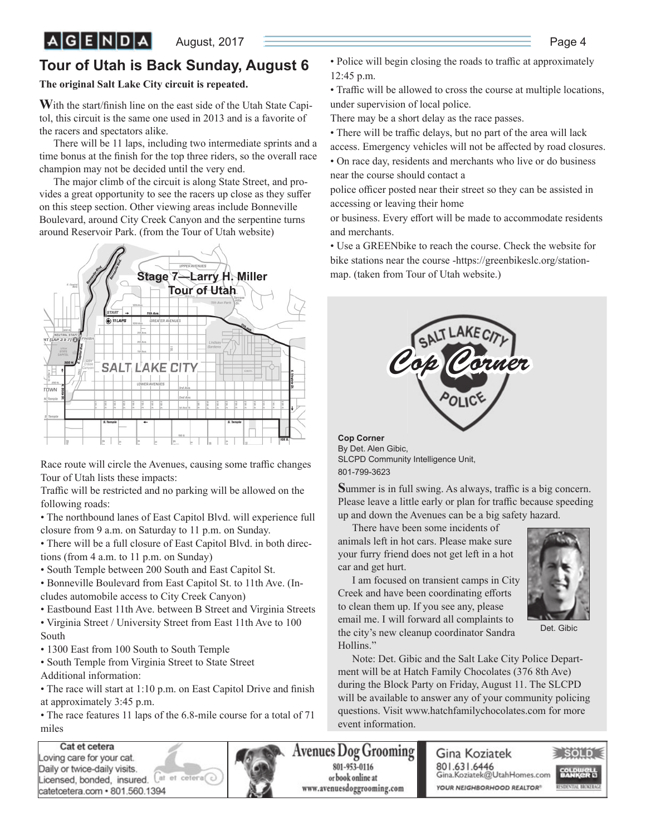August, 2017 **Page 4** Page 4

### **Tour of Utah is Back Sunday, August 6**

#### **The original Salt Lake City circuit is repeated.**

**W**ith the start/finish line on the east side of the Utah State Capitol, this circuit is the same one used in 2013 and is a favorite of the racers and spectators alike.

There will be 11 laps, including two intermediate sprints and a time bonus at the finish for the top three riders, so the overall race champion may not be decided until the very end.

The major climb of the circuit is along State Street, and provides a great opportunity to see the racers up close as they suffer on this steep section. Other viewing areas include Bonneville Boulevard, around City Creek Canyon and the serpentine turns around Reservoir Park. (from the Tour of Utah website)



Race route will circle the Avenues, causing some traffic changes Tour of Utah lists these impacts:

Traffic will be restricted and no parking will be allowed on the following roads:

• The northbound lanes of East Capitol Blvd. will experience full closure from 9 a.m. on Saturday to 11 p.m. on Sunday.

• There will be a full closure of East Capitol Blvd. in both directions (from 4 a.m. to 11 p.m. on Sunday)

• South Temple between 200 South and East Capitol St.

• Bonneville Boulevard from East Capitol St. to 11th Ave. (Includes automobile access to City Creek Canyon)

• Eastbound East 11th Ave. between B Street and Virginia Streets

• Virginia Street / University Street from East 11th Ave to 100 South

- 1300 East from 100 South to South Temple
- South Temple from Virginia Street to State Street
- Additional information:

• The race will start at 1:10 p.m. on East Capitol Drive and finish at approximately 3:45 p.m.

• The race features 11 laps of the 6.8-mile course for a total of 71 miles

Cat et cetera oving care for your cat. Daily or twice-daily visits. Licensed, bonded, insured. Cat et cetera catetcetera.com · 801.560.1394



• Traffic will be allowed to cross the course at multiple locations, under supervision of local police.

There may be a short delay as the race passes.

- There will be traffic delays, but no part of the area will lack access. Emergency vehicles will not be affected by road closures.
- On race day, residents and merchants who live or do business near the course should contact a

police officer posted near their street so they can be assisted in accessing or leaving their home

or business. Every effort will be made to accommodate residents and merchants.

• Use a GREENbike to reach the course. Check the website for bike stations near the course -https://greenbikeslc.org/station-



**Cop Corner** By Det. Alen Gibic, SLCPD Community Intelligence Unit, 801-799-3623

Summer is in full swing. As always, traffic is a big concern. Please leave a little early or plan for traffic because speeding up and down the Avenues can be a big safety hazard.

There have been some incidents of animals left in hot cars. Please make sure your furry friend does not get left in a hot car and get hurt.

I am focused on transient camps in City Creek and have been coordinating efforts to clean them up. If you see any, please email me. I will forward all complaints to the city's new cleanup coordinator Sandra Hollins."



Det. Gibic

Note: Det. Gibic and the Salt Lake City Police Department will be at Hatch Family Chocolates (376 8th Ave) during the Block Party on Friday, August 11. The SLCPD will be available to answer any of your community policing questions. Visit www.hatchfamilychocolates.com for more event information.

**Avenues Dog Grooming** 801-953-0116 or book online at www.avenuesdoggrooming.com

Gina Koziatek 801.631.6446 Gina.Koziatek@UtahHomes.com YOUR NEIGHBORHOOD REALTOR®

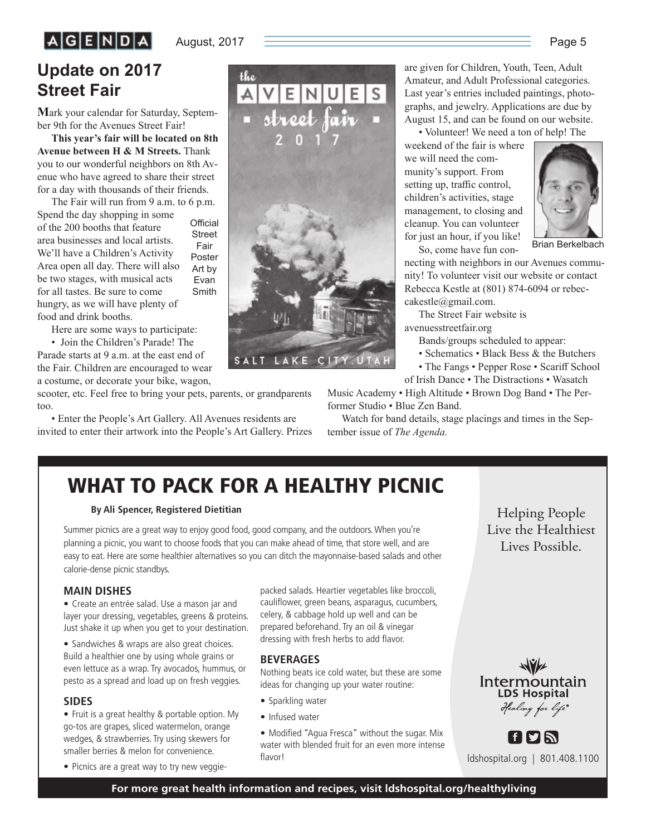# $A$  $G$  $E$  $N$  $D$  $A$

#### August, 2017 **Page 5** Page 5

# **Update on 2017 Street Fair**

**M**ark your calendar for Saturday, September 9th for the Avenues Street Fair!

**This year's fair will be located on 8th Avenue between H & M Streets.** Thank you to our wonderful neighbors on 8th Avenue who have agreed to share their street for a day with thousands of their friends.

The Fair will run from 9 a.m. to 6 p.m. Spend the day shopping in some Official

of the 200 booths that feature area businesses and local artists. We'll have a Children's Activity Area open all day. There will also be two stages, with musical acts for all tastes. Be sure to come hungry, as we will have plenty of food and drink booths. **Street** Fair Poster Art by Evan Smith

Here are some ways to participate:

• Join the Children's Parade! The Parade starts at 9 a.m. at the east end of the Fair. Children are encouraged to wear a costume, or decorate your bike, wagon,

scooter, etc. Feel free to bring your pets, parents, or grandparents too.

• Enter the People's Art Gallery. All Avenues residents are invited to enter their artwork into the People's Art Gallery. Prizes



are given for Children, Youth, Teen, Adult Amateur, and Adult Professional categories. Last year's entries included paintings, photographs, and jewelry. Applications are due by August 15, and can be found on our website.

• Volunteer! We need a ton of help! The

weekend of the fair is where we will need the community's support. From setting up, traffic control, children's activities, stage management, to closing and cleanup. You can volunteer for just an hour, if you like! So, come have fun con-



Brian Berkelbach

necting with neighbors in our Avenues community! To volunteer visit our website or contact Rebecca Kestle at (801) 874-6094 or rebeccakestle@gmail.com.

The Street Fair website is avenuesstreetfair.org

Bands/groups scheduled to appear:

• Schematics • Black Bess & the Butchers

• The Fangs • Pepper Rose • Scariff School

of Irish Dance • The Distractions • Wasatch

Music Academy • High Altitude • Brown Dog Band • The Performer Studio • Blue Zen Band.

Watch for band details, stage placings and times in the September issue of *The Agenda.*

# **WHAT TO PACK FOR A HEALTHY PICNIC**

#### **By Ali Spencer, Registered Dietitian**

Summer picnics are a great way to enjoy good food, good company, and the outdoors. When you're planning a picnic, you want to choose foods that you can make ahead of time, that store well, and are easy to eat. Here are some healthier alternatives so you can ditch the mayonnaise-based salads and other calorie-dense picnic standbys.

#### **MAIN DISHES**

• Create an entrée salad. Use a mason jar and layer your dressing, vegetables, greens & proteins. Just shake it up when you get to your destination.

• Sandwiches & wraps are also great choices. Build a healthier one by using whole grains or even lettuce as a wrap. Try avocados, hummus, or pesto as a spread and load up on fresh veggies.

#### **SIDES**

• Fruit is a great healthy & portable option. My go-tos are grapes, sliced watermelon, orange wedges, & strawberries. Try using skewers for smaller berries & melon for convenience.

• Picnics are a great way to try new veggie-

packed salads. Heartier vegetables like broccoli, cauliflower, green beans, asparagus, cucumbers, celery, & cabbage hold up well and can be prepared beforehand. Try an oil & vinegar dressing with fresh herbs to add flavor.

#### **BEVERAGES**

Nothing beats ice cold water, but these are some ideas for changing up your water routine:

- Sparkling water
- Infused water

• Modified "Agua Fresca" without the sugar. Mix water with blended fruit for an even more intense flavor!

Intermountain **LDS Hospital** 

Helping People

Lives Possible. Lives Possible.



**FPN** ldshospital.org | 801.408.1100

**For more great health information and recipes, visit ldshospital.org/healthyliving**